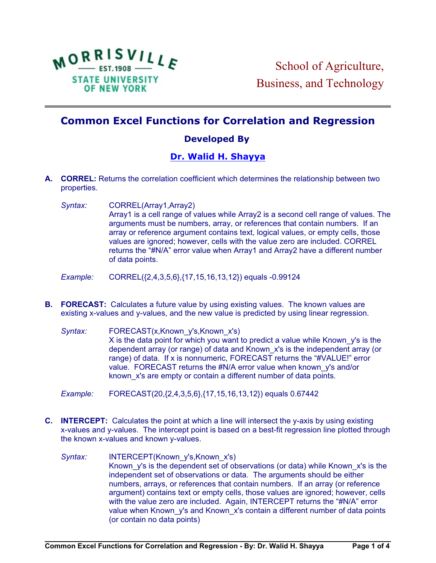

## **Common Excel Functions for Correlation and Regression**

## **Developed By**

## **[Dr. Walid H. Shayya](http://people.morrisville.edu//u126%20~shayyaw/index.htm)**

- **A. CORREL:** Returns the correlation coefficient which determines the relationship between two properties.
	- *Syntax:* CORREL(Array1,Array2) Array1 is a cell range of values while Array2 is a second cell range of values. The arguments must be numbers, array, or references that contain numbers. If an array or reference argument contains text, logical values, or empty cells, those values are ignored; however, cells with the value zero are included. CORREL returns the "#N/A" error value when Array1 and Array2 have a different number of data points.

*Example:* CORREL({2,4,3,5,6},{17,15,16,13,12}) equals -0.99124

**B. FORECAST:** Calculates a future value by using existing values. The known values are existing x-values and y-values, and the new value is predicted by using linear regression.

*Syntax:* FORECAST(x,Known\_y's,Known\_x's) X is the data point for which you want to predict a value while Known y's is the dependent array (or range) of data and Known\_x's is the independent array (or range) of data. If x is nonnumeric, FORECAST returns the "#VALUE!" error value. FORECAST returns the #N/A error value when known y's and/or known x's are empty or contain a different number of data points.

*Example:* FORECAST(20,{2,4,3,5,6},{17,15,16,13,12}) equals 0.67442

- **C. INTERCEPT:** Calculates the point at which a line will intersect the y-axis by using existing x-values and y-values. The intercept point is based on a best-fit regression line plotted through the known x-values and known y-values.
	- Syntax: **INTERCEPT(Known\_y's,Known\_x's)** Known y's is the dependent set of observations (or data) while Known x's is the independent set of observations or data. The arguments should be either numbers, arrays, or references that contain numbers. If an array (or reference argument) contains text or empty cells, those values are ignored; however, cells with the value zero are included. Again, INTERCEPT returns the "#N/A" error value when Known y's and Known x's contain a different number of data points (or contain no data points)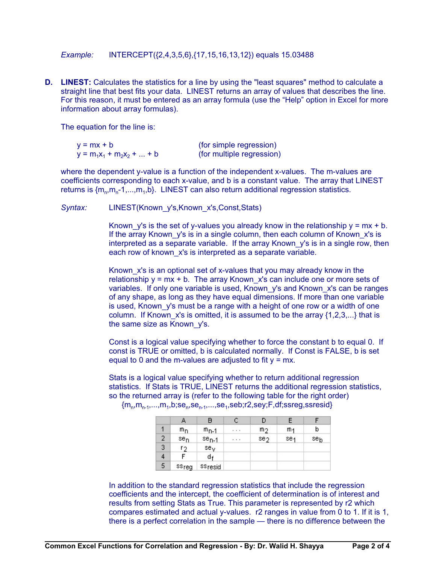*Example:* INTERCEPT({2,4,3,5,6},{17,15,16,13,12}) equals 15.03488

**D.** LINEST: Calculates the statistics for a line by using the "least squares" method to calculate a straight line that best fits your data. LINEST returns an array of values that describes the line. For this reason, it must be entered as an array formula (use the "Help" option in Excel for more information about array formulas).

The equation for the line is:

| $y = mx + b$                 | (for simple regression)   |
|------------------------------|---------------------------|
| $y = m_1x_1 + m_2x_2 +  + b$ | (for multiple regression) |

where the dependent y-value is a function of the independent x-values. The m-values are coefficients corresponding to each x-value, and b is a constant value. The array that LINEST returns is  ${m_n, m_n-1, ..., m_1, b}$ . LINEST can also return additional regression statistics.

*Syntax:* LINEST(Known\_y's,Known\_x's,Const,Stats)

Known y's is the set of y-values you already know in the relationship  $y = mx + b$ . If the array Known y's is in a single column, then each column of Known x's is interpreted as a separate variable. If the array Known y's is in a single row, then each row of known x's is interpreted as a separate variable.

Known x's is an optional set of x-values that you may already know in the relationship  $y = mx + b$ . The array Known x's can include one or more sets of variables. If only one variable is used, Known\_y's and Known\_x's can be ranges of any shape, as long as they have equal dimensions. If more than one variable is used, Known y's must be a range with a height of one row or a width of one column. If Known x's is omitted, it is assumed to be the array  ${1,2,3,...}$  that is the same size as Known\_y's.

Const is a logical value specifying whether to force the constant b to equal 0. If const is TRUE or omitted, b is calculated normally. If Const is FALSE, b is set equal to 0 and the m-values are adjusted to fit  $y = mx$ .

Stats is a logical value specifying whether to return additional regression statistics. If Stats is TRUE, LINEST returns the additional regression statistics, so the returned array is (refer to the following table for the right order)  $\{ {\sf m}_{\sf n}{\sf m}_{\sf n\text{-}1}{\sf,} {\sf m}_{\sf n}{\sf,} {\sf n}_{\sf n}{\sf n}_{\sf n}{\sf s}$ se $\sf_{\sf n\text{-}1}{\sf m}_{\sf n}{\sf s}$ seb;r2,sey;F,df;ssreg,ssresid}

|                |                   | в          |   |                 |                 |     |
|----------------|-------------------|------------|---|-----------------|-----------------|-----|
|                | mn                | $m_{D-1}$  | . | m2              | m <sub>1</sub>  | b   |
| $\overline{2}$ | sen               | $se_{n-1}$ | . | se <sub>2</sub> | se <sub>1</sub> | seb |
| 3              | r2                | sey        |   |                 |                 |     |
| 4              |                   | ₫ŧ         |   |                 |                 |     |
| 5              | <sup>SS</sup> reg | ssresid    |   |                 |                 |     |

In addition to the standard regression statistics that include the regression coefficients and the intercept, the coefficient of determination is of interest and results from setting Stats as True. This parameter is represented by r2 which compares estimated and actual y-values. r2 ranges in value from 0 to 1. If it is 1, there is a perfect correlation in the sample — there is no difference between the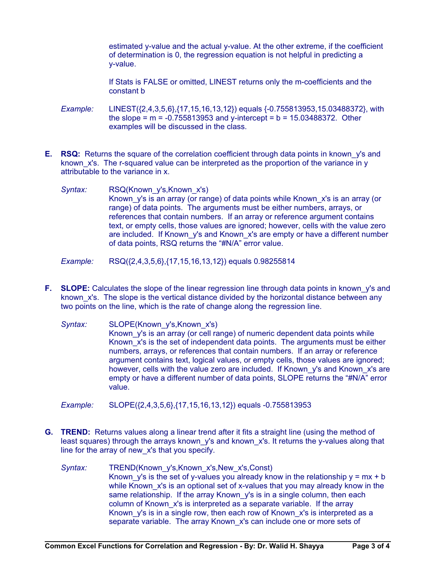estimated y-value and the actual y-value. At the other extreme, if the coefficient of determination is 0, the regression equation is not helpful in predicting a y-value.

If Stats is FALSE or omitted, LINEST returns only the m-coefficients and the constant b

- *Example:* LINEST({2,4,3,5,6},{17,15,16,13,12}) equals {-0.755813953,15.03488372}, with the slope =  $m = -0.755813953$  and y-intercept =  $b = 15.03488372$ . Other examples will be discussed in the class.
- **E. RSQ:** Returns the square of the correlation coefficient through data points in known y's and known x's. The r-squared value can be interpreted as the proportion of the variance in y attributable to the variance in x.
	- *Syntax:* RSQ(Known\_y's,Known\_x's) Known\_y's is an array (or range) of data points while Known\_x's is an array (or range) of data points. The arguments must be either numbers, arrays, or references that contain numbers. If an array or reference argument contains text, or empty cells, those values are ignored; however, cells with the value zero are included. If Known y's and Known x's are empty or have a different number of data points, RSQ returns the "#N/A" error value.
	- *Example:* RSQ({2,4,3,5,6},{17,15,16,13,12}) equals 0.98255814
- **F.** SLOPE: Calculates the slope of the linear regression line through data points in known y's and known x's. The slope is the vertical distance divided by the horizontal distance between any two points on the line, which is the rate of change along the regression line.
	- *Syntax:* SLOPE(Known\_y's,Known\_x's) Known y's is an array (or cell range) of numeric dependent data points while Known x's is the set of independent data points. The arguments must be either numbers, arrays, or references that contain numbers. If an array or reference argument contains text, logical values, or empty cells, those values are ignored; however, cells with the value zero are included. If Known y's and Known x's are empty or have a different number of data points, SLOPE returns the "#N/A" error value.

*Example:* SLOPE({2,4,3,5,6},{17,15,16,13,12}) equals -0.755813953

- **G. TREND:** Returns values along a linear trend after it fits a straight line (using the method of least squares) through the arrays known y's and known x's. It returns the y-values along that line for the array of new\_x's that you specify.
	- *Syntax:* TREND(Known\_y's,Known\_x's,New\_x's,Const) Known y's is the set of y-values you already know in the relationship  $y = mx + b$ while Known x's is an optional set of x-values that you may already know in the same relationship. If the array Known y's is in a single column, then each column of Known\_x's is interpreted as a separate variable. If the array Known, y's is in a single row, then each row of Known, x's is interpreted as a separate variable. The array Known x's can include one or more sets of